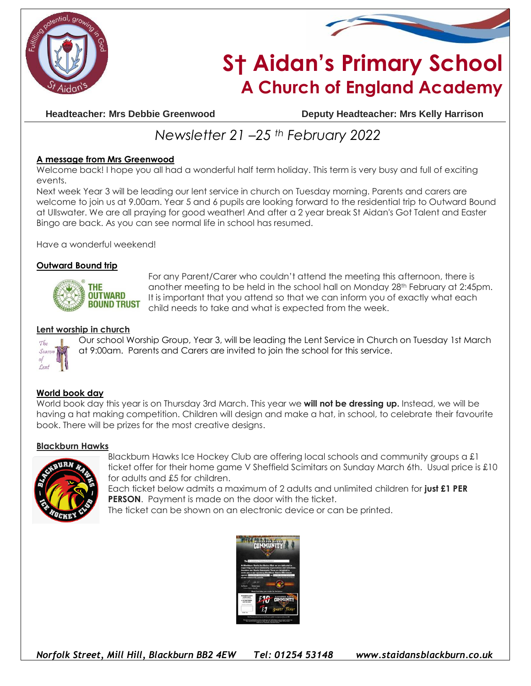



# **S† Aidan's Primary School A Church of England Academy**

**Headteacher: Mrs Debbie Greenwood Deputy Headteacher: Mrs Kelly Harrison**

## *Newsletter 21 –25 th February 2022*

### **A message from Mrs Greenwood**

Welcome back! I hope you all had a wonderful half term holiday. This term is very busy and full of exciting events.

Next week Year 3 will be leading our lent service in church on Tuesday morning. Parents and carers are welcome to join us at 9.00am. Year 5 and 6 pupils are looking forward to the residential trip to Outward Bound at Ullswater. We are all praying for good weather! And after a 2 year break St Aidan's Got Talent and Easter Bingo are back. As you can see normal life in school has resumed.

Have a wonderful weekend!

#### **Outward Bound trip**



For any Parent/Carer who couldn't attend the meeting this afternoon, there is another meeting to be held in the school hall on Monday 28th February at 2:45pm. It is important that you attend so that we can inform you of exactly what each child needs to take and what is expected from the week.

#### **Lent worship in church**



Our school Worship Group, Year 3, will be leading the Lent Service in Church on Tuesday 1st March at 9:00am. Parents and Carers are invited to join the school for this service.

#### **World book day**

World book day this year is on Thursday 3rd March. This year we **will not be dressing up.** Instead, we will be having a hat making competition. Children will design and make a hat, in school, to celebrate their favourite book. There will be prizes for the most creative designs.

#### **Blackburn Hawks**



Blackburn Hawks Ice Hockey Club are offering local schools and community groups a £1 ticket offer for their home game V Sheffield Scimitars on Sunday March 6th. Usual price is £10 for adults and £5 for children.

Each ticket below admits a maximum of 2 adults and unlimited children for **just £1 PER PERSON.** Payment is made on the door with the ticket.

The ticket can be shown on an electronic device or can be printed.